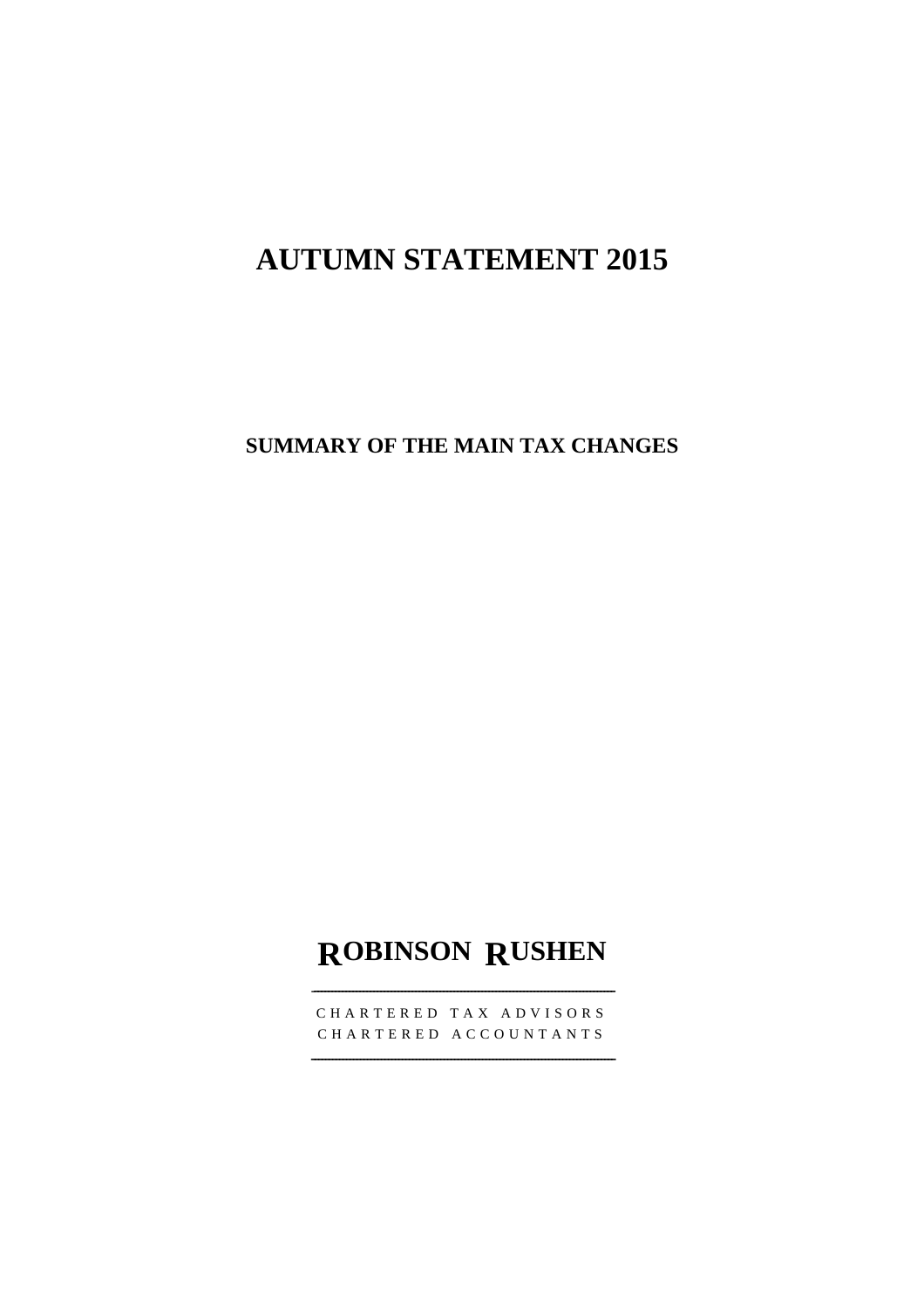# **AUTUMN STATEMENT 2015**

**SUMMARY OF THE MAIN TAX CHANGES** 

## **ROBINSON RUSHEN**

‐--------------------------------------------------------------------------------------

CHARTERED TAX ADVISORS CHARTERED ACCOUNTANTS

---------------------------------------------------------------------------------------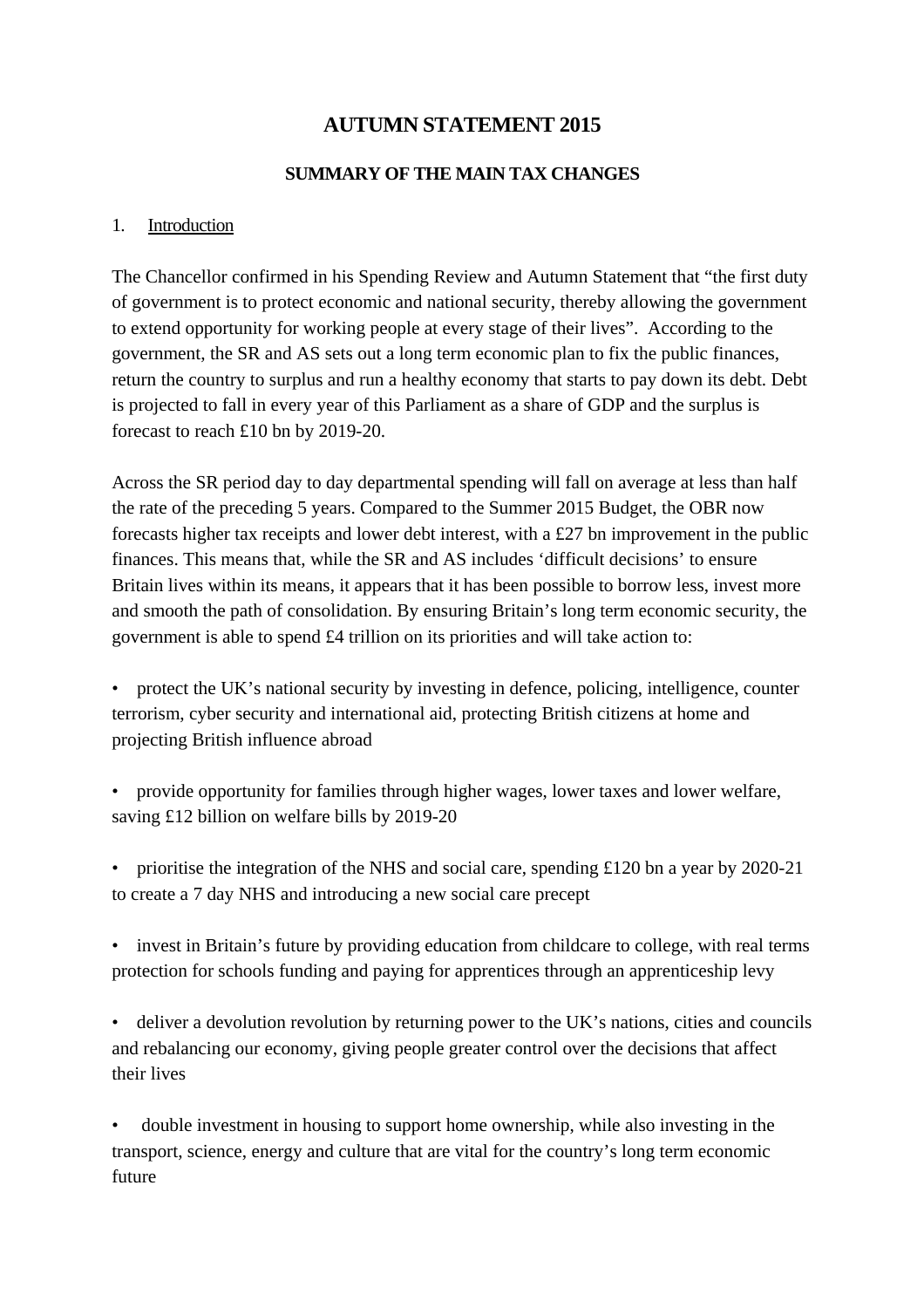## **AUTUMN STATEMENT 2015**

#### **SUMMARY OF THE MAIN TAX CHANGES**

#### 1. Introduction

The Chancellor confirmed in his Spending Review and Autumn Statement that "the first duty of government is to protect economic and national security, thereby allowing the government to extend opportunity for working people at every stage of their lives". According to the government, the SR and AS sets out a long term economic plan to fix the public finances, return the country to surplus and run a healthy economy that starts to pay down its debt. Debt is projected to fall in every year of this Parliament as a share of GDP and the surplus is forecast to reach £10 bn by 2019-20.

Across the SR period day to day departmental spending will fall on average at less than half the rate of the preceding 5 years. Compared to the Summer 2015 Budget, the OBR now forecasts higher tax receipts and lower debt interest, with a £27 bn improvement in the public finances. This means that, while the SR and AS includes 'difficult decisions' to ensure Britain lives within its means, it appears that it has been possible to borrow less, invest more and smooth the path of consolidation. By ensuring Britain's long term economic security, the government is able to spend £4 trillion on its priorities and will take action to:

• protect the UK's national security by investing in defence, policing, intelligence, counter terrorism, cyber security and international aid, protecting British citizens at home and projecting British influence abroad

• provide opportunity for families through higher wages, lower taxes and lower welfare, saving £12 billion on welfare bills by 2019-20

• prioritise the integration of the NHS and social care, spending £120 bn a year by 2020-21 to create a 7 day NHS and introducing a new social care precept

• invest in Britain's future by providing education from childcare to college, with real terms protection for schools funding and paying for apprentices through an apprenticeship levy

• deliver a devolution revolution by returning power to the UK's nations, cities and councils and rebalancing our economy, giving people greater control over the decisions that affect their lives

• double investment in housing to support home ownership, while also investing in the transport, science, energy and culture that are vital for the country's long term economic future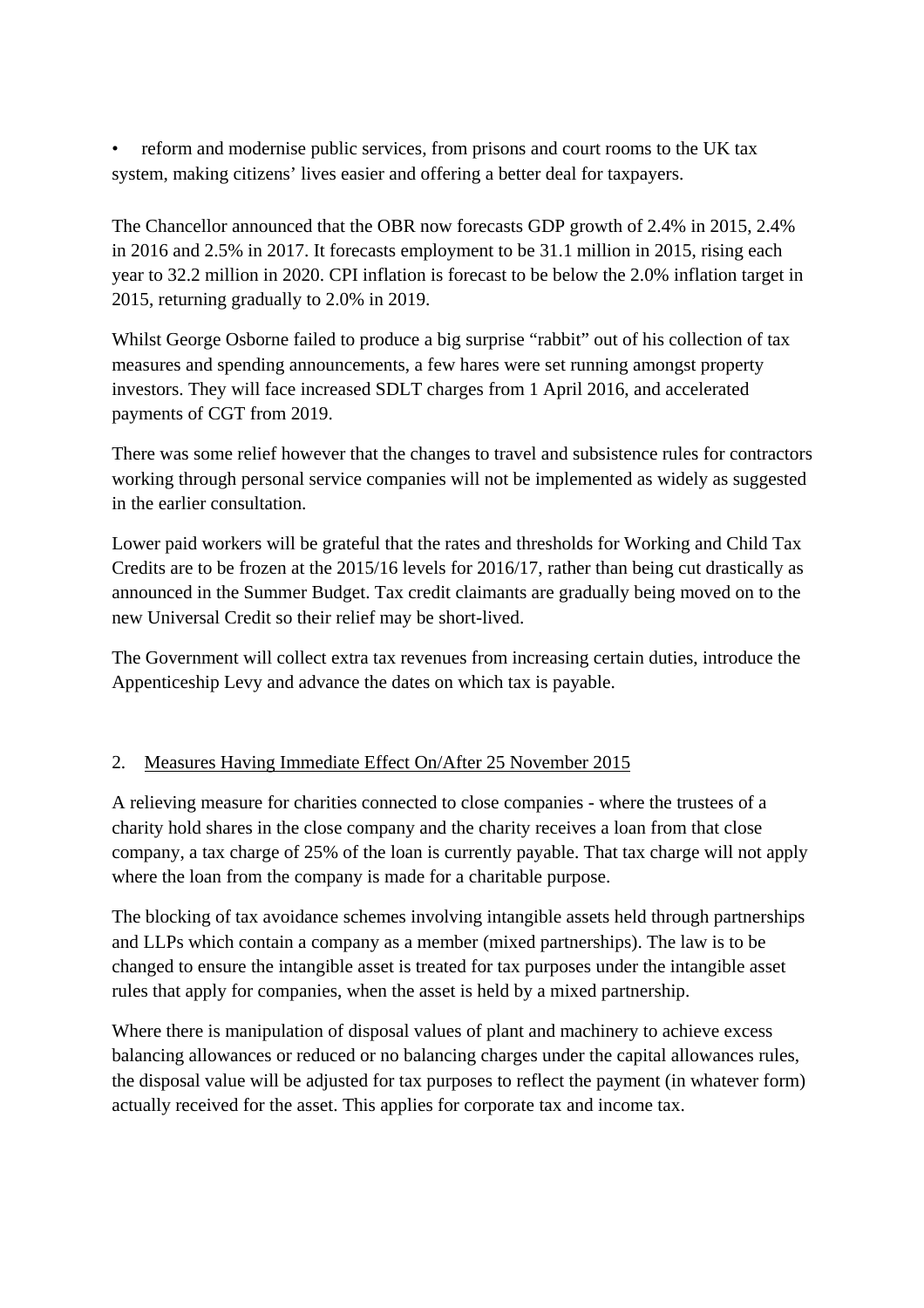• reform and modernise public services, from prisons and court rooms to the UK tax system, making citizens' lives easier and offering a better deal for taxpayers.

The Chancellor announced that the OBR now forecasts GDP growth of 2.4% in 2015, 2.4% in 2016 and 2.5% in 2017. It forecasts employment to be 31.1 million in 2015, rising each year to 32.2 million in 2020. CPI inflation is forecast to be below the 2.0% inflation target in 2015, returning gradually to 2.0% in 2019.

Whilst George Osborne failed to produce a big surprise "rabbit" out of his collection of tax measures and spending announcements, a few hares were set running amongst property investors. They will face increased SDLT charges from 1 April 2016, and accelerated payments of CGT from 2019.

There was some relief however that the changes to travel and subsistence rules for contractors working through personal service companies will not be implemented as widely as suggested in the earlier consultation.

Lower paid workers will be grateful that the rates and thresholds for Working and Child Tax Credits are to be frozen at the 2015/16 levels for 2016/17, rather than being cut drastically as announced in the Summer Budget. Tax credit claimants are gradually being moved on to the new Universal Credit so their relief may be short-lived.

The Government will collect extra tax revenues from increasing certain duties, introduce the Appenticeship Levy and advance the dates on which tax is payable.

#### 2. Measures Having Immediate Effect On/After 25 November 2015

A relieving measure for charities connected to close companies - where the trustees of a charity hold shares in the close company and the charity receives a loan from that close company, a tax charge of 25% of the loan is currently payable. That tax charge will not apply where the loan from the company is made for a charitable purpose.

The blocking of tax avoidance schemes involving intangible assets held through partnerships and LLPs which contain a company as a member (mixed partnerships). The law is to be changed to ensure the intangible asset is treated for tax purposes under the intangible asset rules that apply for companies, when the asset is held by a mixed partnership.

Where there is manipulation of disposal values of plant and machinery to achieve excess balancing allowances or reduced or no balancing charges under the capital allowances rules, the disposal value will be adjusted for tax purposes to reflect the payment (in whatever form) actually received for the asset. This applies for corporate tax and income tax.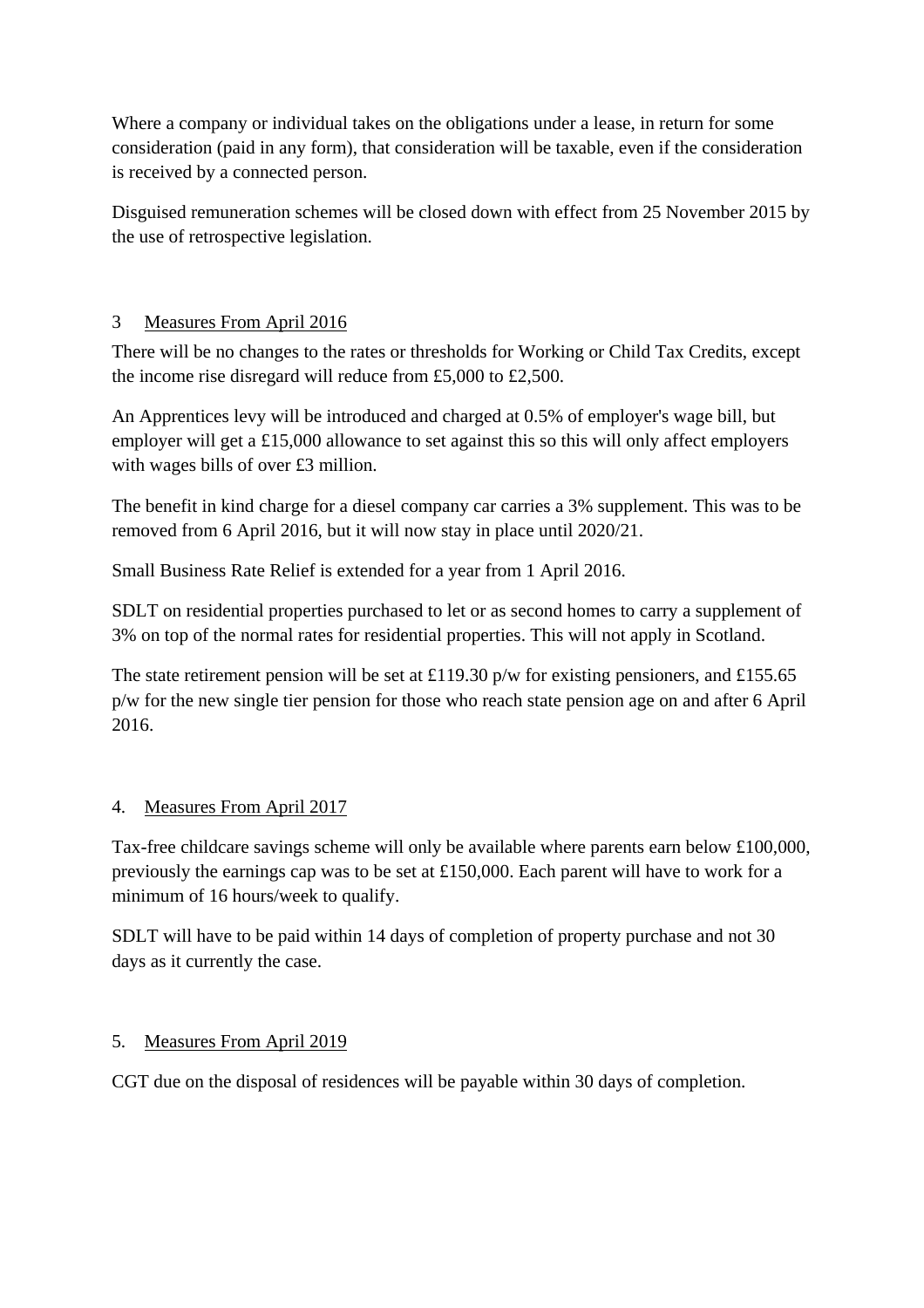Where a company or individual takes on the obligations under a lease, in return for some consideration (paid in any form), that consideration will be taxable, even if the consideration is received by a connected person.

Disguised remuneration schemes will be closed down with effect from 25 November 2015 by the use of retrospective legislation.

## 3 Measures From April 2016

There will be no changes to the rates or thresholds for Working or Child Tax Credits, except the income rise disregard will reduce from £5,000 to £2,500.

An Apprentices levy will be introduced and charged at 0.5% of employer's wage bill, but employer will get a £15,000 allowance to set against this so this will only affect employers with wages bills of over £3 million.

The benefit in kind charge for a diesel company car carries a 3% supplement. This was to be removed from 6 April 2016, but it will now stay in place until 2020/21.

Small Business Rate Relief is extended for a year from 1 April 2016.

SDLT on residential properties purchased to let or as second homes to carry a supplement of 3% on top of the normal rates for residential properties. This will not apply in Scotland.

The state retirement pension will be set at £119.30 p/w for existing pensioners, and £155.65 p/w for the new single tier pension for those who reach state pension age on and after 6 April 2016.

## 4. Measures From April 2017

Tax-free childcare savings scheme will only be available where parents earn below £100,000, previously the earnings cap was to be set at £150,000. Each parent will have to work for a minimum of 16 hours/week to qualify.

SDLT will have to be paid within 14 days of completion of property purchase and not 30 days as it currently the case.

## 5. Measures From April 2019

CGT due on the disposal of residences will be payable within 30 days of completion.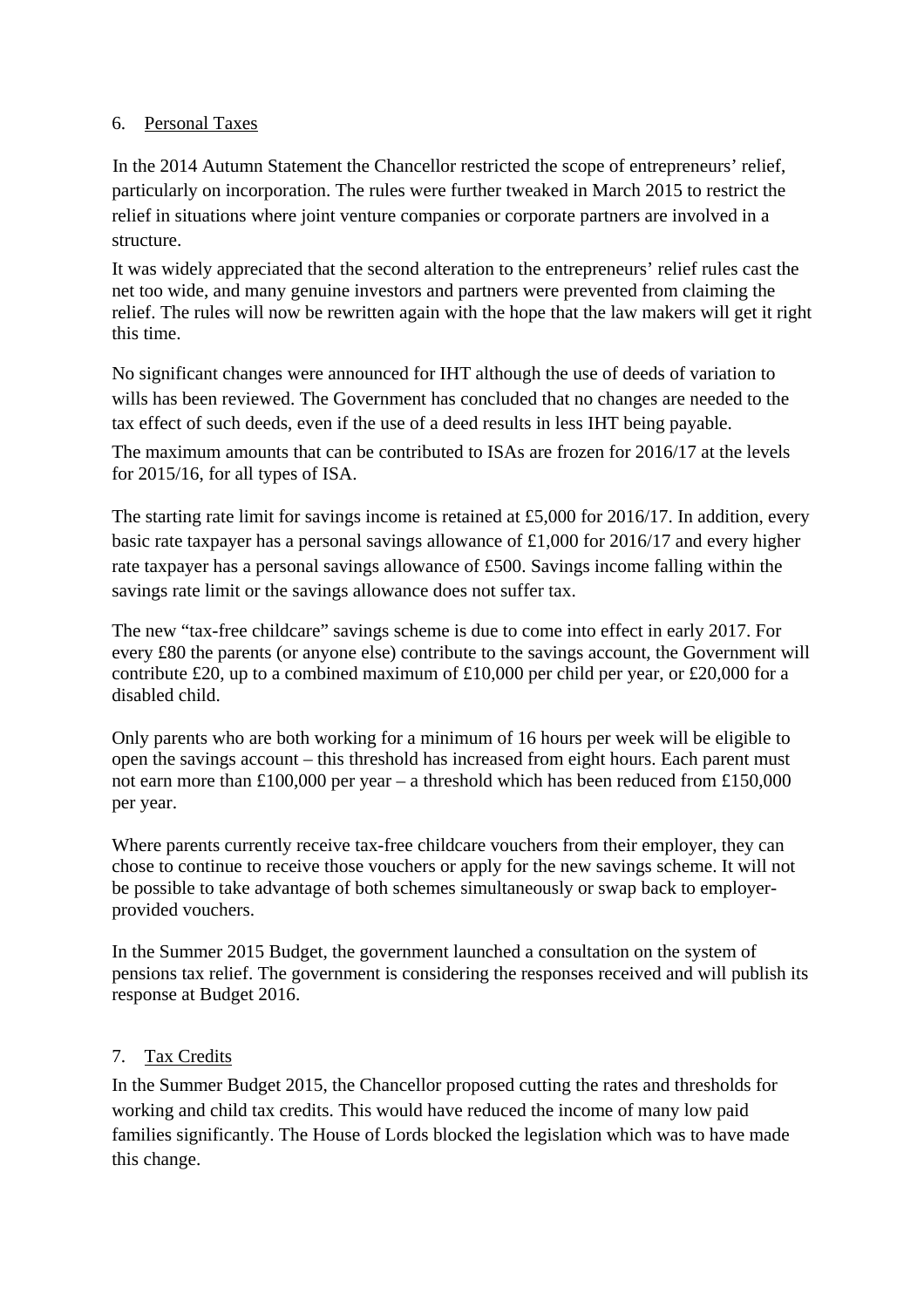#### 6. Personal Taxes

In the 2014 Autumn Statement the Chancellor restricted the scope of entrepreneurs' relief, particularly on incorporation. The rules were further tweaked in March 2015 to restrict the relief in situations where joint venture companies or corporate partners are involved in a structure.

It was widely appreciated that the second alteration to the entrepreneurs' relief rules cast the net too wide, and many genuine investors and partners were prevented from claiming the relief. The rules will now be rewritten again with the hope that the law makers will get it right this time.

No significant changes were announced for IHT although the use of deeds of variation to wills has been reviewed. The Government has concluded that no changes are needed to the tax effect of such deeds, even if the use of a deed results in less IHT being payable.

The maximum amounts that can be contributed to ISAs are frozen for 2016/17 at the levels for 2015/16, for all types of ISA.

The starting rate limit for savings income is retained at £5,000 for 2016/17. In addition, every basic rate taxpayer has a personal savings allowance of £1,000 for 2016/17 and every higher rate taxpayer has a personal savings allowance of £500. Savings income falling within the savings rate limit or the savings allowance does not suffer tax.

The new "tax-free childcare" savings scheme is due to come into effect in early 2017. For every £80 the parents (or anyone else) contribute to the savings account, the Government will contribute £20, up to a combined maximum of £10,000 per child per year, or £20,000 for a disabled child.

Only parents who are both working for a minimum of 16 hours per week will be eligible to open the savings account – this threshold has increased from eight hours. Each parent must not earn more than £100,000 per year – a threshold which has been reduced from £150,000 per year.

Where parents currently receive tax-free childcare vouchers from their employer, they can chose to continue to receive those vouchers or apply for the new savings scheme. It will not be possible to take advantage of both schemes simultaneously or swap back to employerprovided vouchers.

In the Summer 2015 Budget, the government launched a consultation on the system of pensions tax relief. The government is considering the responses received and will publish its response at Budget 2016.

#### 7. Tax Credits

In the Summer Budget 2015, the Chancellor proposed cutting the rates and thresholds for working and child tax credits. This would have reduced the income of many low paid families significantly. The House of Lords blocked the legislation which was to have made this change.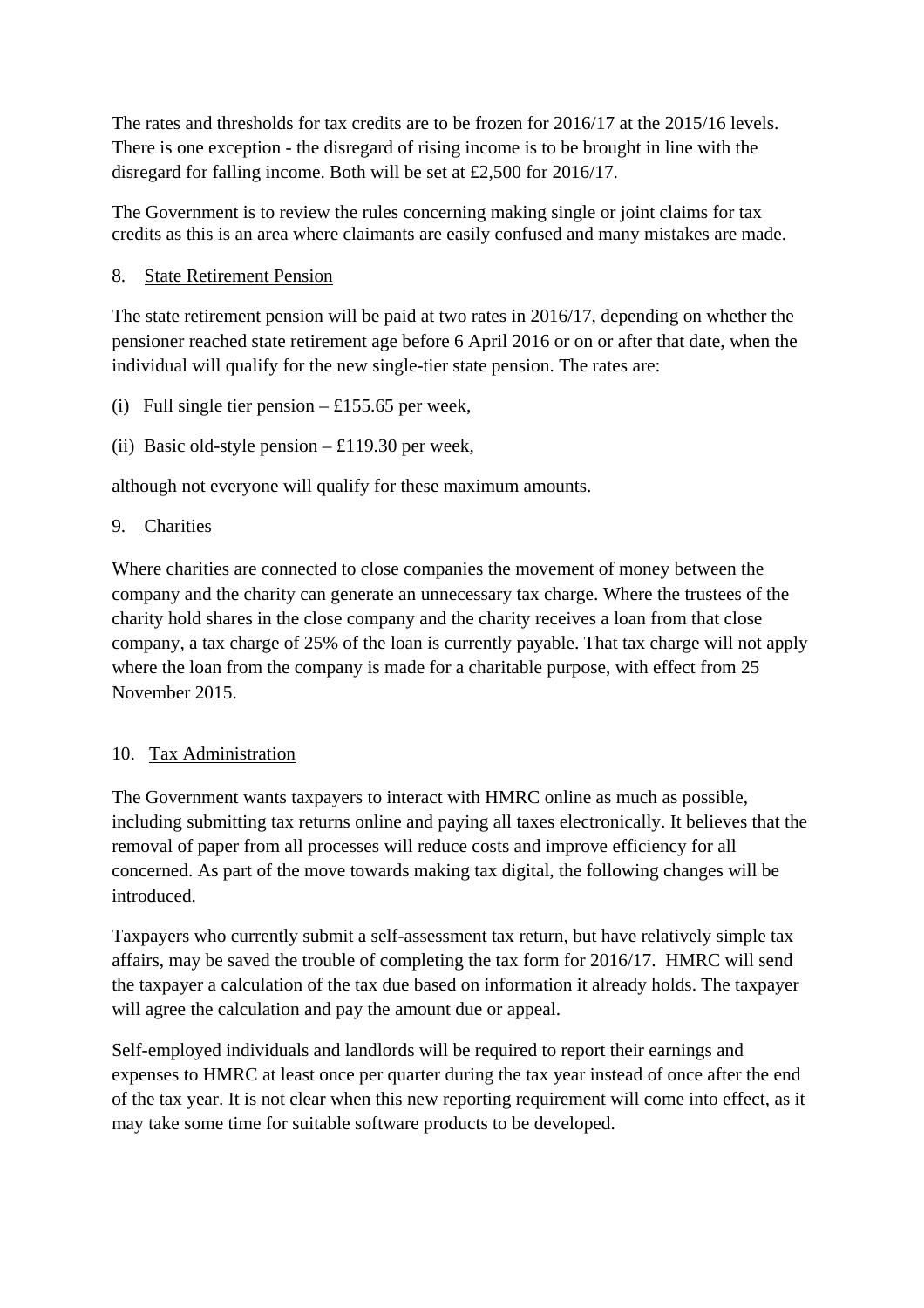The rates and thresholds for tax credits are to be frozen for 2016/17 at the 2015/16 levels. There is one exception - the disregard of rising income is to be brought in line with the disregard for falling income. Both will be set at £2,500 for 2016/17.

The Government is to review the rules concerning making single or joint claims for tax credits as this is an area where claimants are easily confused and many mistakes are made.

#### 8. State Retirement Pension

The state retirement pension will be paid at two rates in 2016/17, depending on whether the pensioner reached state retirement age before 6 April 2016 or on or after that date, when the individual will qualify for the new single-tier state pension. The rates are:

- (i) Full single tier pension  $-$  £155.65 per week,
- (ii) Basic old-style pension  $\pounds 119.30$  per week,

although not everyone will qualify for these maximum amounts.

#### 9. Charities

Where charities are connected to close companies the movement of money between the company and the charity can generate an unnecessary tax charge. Where the trustees of the charity hold shares in the close company and the charity receives a loan from that close company, a tax charge of 25% of the loan is currently payable. That tax charge will not apply where the loan from the company is made for a charitable purpose, with effect from 25 November 2015.

#### 10. Tax Administration

The Government wants taxpayers to interact with HMRC online as much as possible, including submitting tax returns online and paying all taxes electronically. It believes that the removal of paper from all processes will reduce costs and improve efficiency for all concerned. As part of the move towards making tax digital, the following changes will be introduced.

Taxpayers who currently submit a self-assessment tax return, but have relatively simple tax affairs, may be saved the trouble of completing the tax form for 2016/17. HMRC will send the taxpayer a calculation of the tax due based on information it already holds. The taxpayer will agree the calculation and pay the amount due or appeal.

Self-employed individuals and landlords will be required to report their earnings and expenses to HMRC at least once per quarter during the tax year instead of once after the end of the tax year. It is not clear when this new reporting requirement will come into effect, as it may take some time for suitable software products to be developed.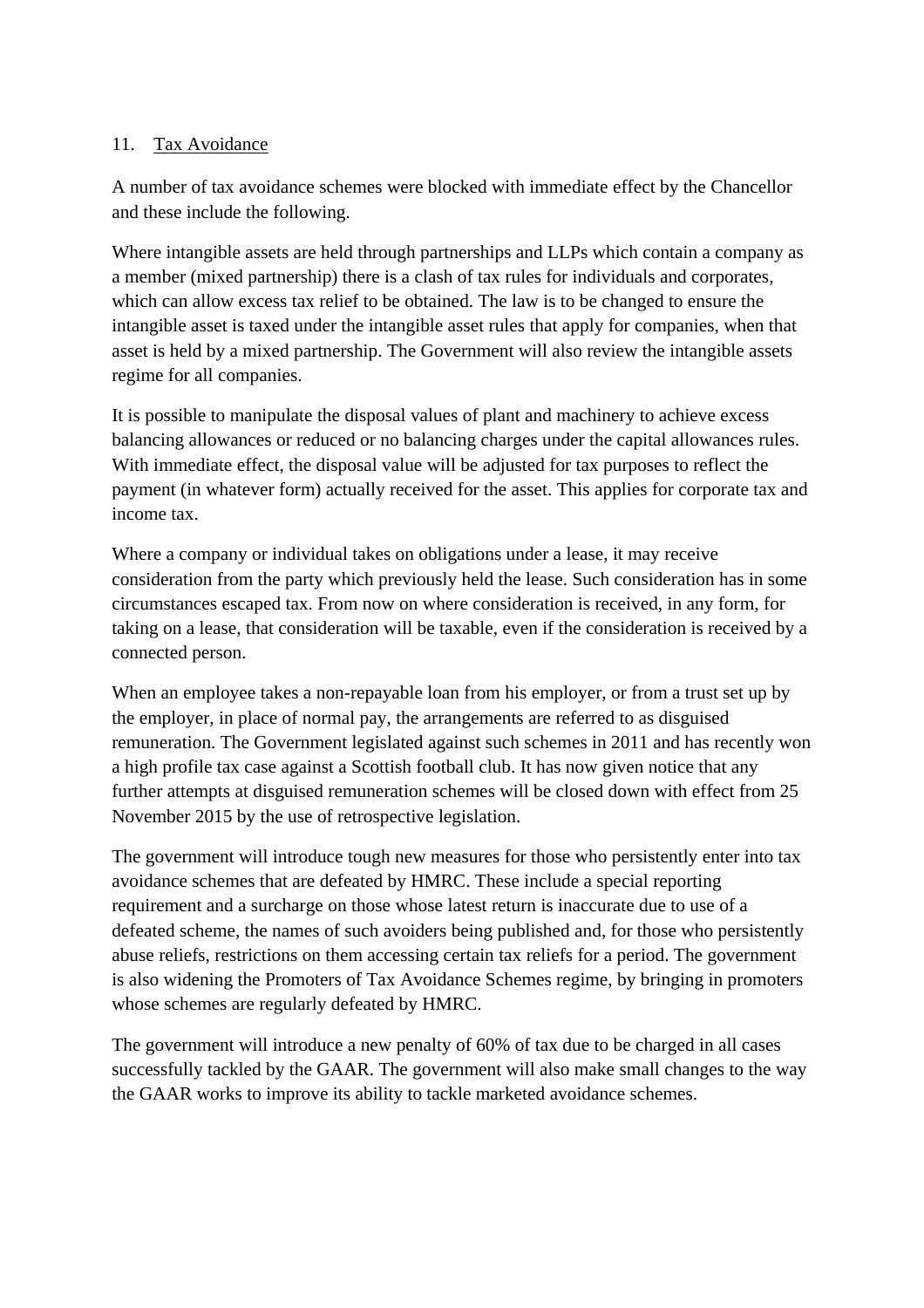#### 11. Tax Avoidance

A number of tax avoidance schemes were blocked with immediate effect by the Chancellor and these include the following.

Where intangible assets are held through partnerships and LLPs which contain a company as a member (mixed partnership) there is a clash of tax rules for individuals and corporates, which can allow excess tax relief to be obtained. The law is to be changed to ensure the intangible asset is taxed under the intangible asset rules that apply for companies, when that asset is held by a mixed partnership. The Government will also review the intangible assets regime for all companies.

It is possible to manipulate the disposal values of plant and machinery to achieve excess balancing allowances or reduced or no balancing charges under the capital allowances rules. With immediate effect, the disposal value will be adjusted for tax purposes to reflect the payment (in whatever form) actually received for the asset. This applies for corporate tax and income tax.

Where a company or individual takes on obligations under a lease, it may receive consideration from the party which previously held the lease. Such consideration has in some circumstances escaped tax. From now on where consideration is received, in any form, for taking on a lease, that consideration will be taxable, even if the consideration is received by a connected person.

When an employee takes a non-repayable loan from his employer, or from a trust set up by the employer, in place of normal pay, the arrangements are referred to as disguised remuneration. The Government legislated against such schemes in 2011 and has recently won a high profile tax case against a Scottish football club. It has now given notice that any further attempts at disguised remuneration schemes will be closed down with effect from 25 November 2015 by the use of retrospective legislation.

The government will introduce tough new measures for those who persistently enter into tax avoidance schemes that are defeated by HMRC. These include a special reporting requirement and a surcharge on those whose latest return is inaccurate due to use of a defeated scheme, the names of such avoiders being published and, for those who persistently abuse reliefs, restrictions on them accessing certain tax reliefs for a period. The government is also widening the Promoters of Tax Avoidance Schemes regime, by bringing in promoters whose schemes are regularly defeated by HMRC.

The government will introduce a new penalty of 60% of tax due to be charged in all cases successfully tackled by the GAAR. The government will also make small changes to the way the GAAR works to improve its ability to tackle marketed avoidance schemes.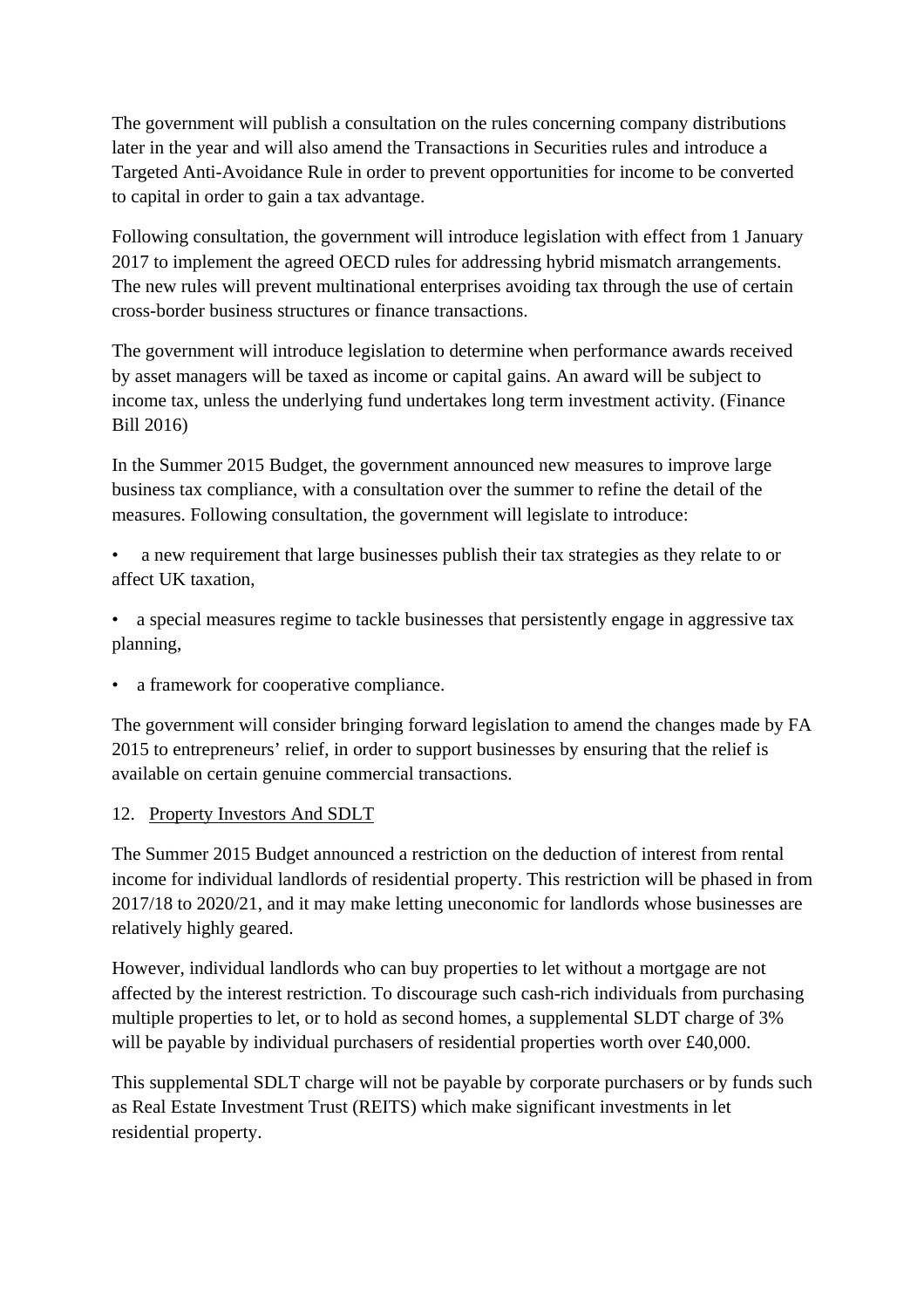The government will publish a consultation on the rules concerning company distributions later in the year and will also amend the Transactions in Securities rules and introduce a Targeted Anti-Avoidance Rule in order to prevent opportunities for income to be converted to capital in order to gain a tax advantage.

Following consultation, the government will introduce legislation with effect from 1 January 2017 to implement the agreed OECD rules for addressing hybrid mismatch arrangements. The new rules will prevent multinational enterprises avoiding tax through the use of certain cross-border business structures or finance transactions.

The government will introduce legislation to determine when performance awards received by asset managers will be taxed as income or capital gains. An award will be subject to income tax, unless the underlying fund undertakes long term investment activity. (Finance Bill 2016)

In the Summer 2015 Budget, the government announced new measures to improve large business tax compliance, with a consultation over the summer to refine the detail of the measures. Following consultation, the government will legislate to introduce:

• a new requirement that large businesses publish their tax strategies as they relate to or affect UK taxation,

• a special measures regime to tackle businesses that persistently engage in aggressive tax planning,

• a framework for cooperative compliance.

The government will consider bringing forward legislation to amend the changes made by FA 2015 to entrepreneurs' relief, in order to support businesses by ensuring that the relief is available on certain genuine commercial transactions.

## 12. Property Investors And SDLT

The Summer 2015 Budget announced a restriction on the deduction of interest from rental income for individual landlords of residential property. This restriction will be phased in from 2017/18 to 2020/21, and it may make letting uneconomic for landlords whose businesses are relatively highly geared.

However, individual landlords who can buy properties to let without a mortgage are not affected by the interest restriction. To discourage such cash-rich individuals from purchasing multiple properties to let, or to hold as second homes, a supplemental SLDT charge of 3% will be payable by individual purchasers of residential properties worth over £40,000.

This supplemental SDLT charge will not be payable by corporate purchasers or by funds such as Real Estate Investment Trust (REITS) which make significant investments in let residential property.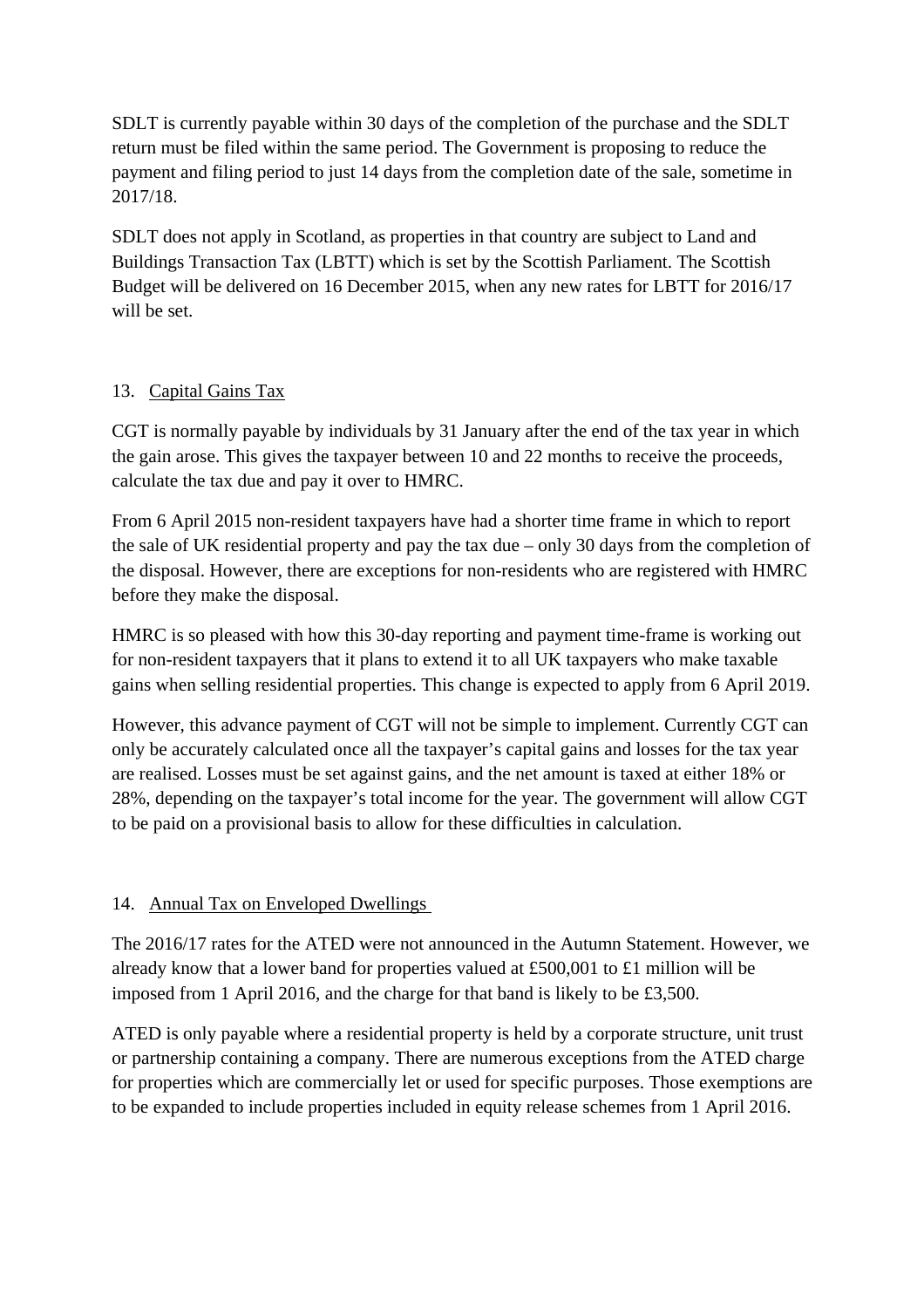SDLT is currently payable within 30 days of the completion of the purchase and the SDLT return must be filed within the same period. The Government is proposing to reduce the payment and filing period to just 14 days from the completion date of the sale, sometime in 2017/18.

SDLT does not apply in Scotland, as properties in that country are subject to Land and Buildings Transaction Tax (LBTT) which is set by the Scottish Parliament. The Scottish Budget will be delivered on 16 December 2015, when any new rates for LBTT for 2016/17 will be set.

#### 13. Capital Gains Tax

CGT is normally payable by individuals by 31 January after the end of the tax year in which the gain arose. This gives the taxpayer between 10 and 22 months to receive the proceeds, calculate the tax due and pay it over to HMRC.

From 6 April 2015 non-resident taxpayers have had a shorter time frame in which to report the sale of UK residential property and pay the tax due – only 30 days from the completion of the disposal. However, there are exceptions for non-residents who are registered with HMRC before they make the disposal.

HMRC is so pleased with how this 30-day reporting and payment time-frame is working out for non-resident taxpayers that it plans to extend it to all UK taxpayers who make taxable gains when selling residential properties. This change is expected to apply from 6 April 2019.

However, this advance payment of CGT will not be simple to implement. Currently CGT can only be accurately calculated once all the taxpayer's capital gains and losses for the tax year are realised. Losses must be set against gains, and the net amount is taxed at either 18% or 28%, depending on the taxpayer's total income for the year. The government will allow CGT to be paid on a provisional basis to allow for these difficulties in calculation.

## 14. Annual Tax on Enveloped Dwellings

The 2016/17 rates for the ATED were not announced in the Autumn Statement. However, we already know that a lower band for properties valued at £500,001 to £1 million will be imposed from 1 April 2016, and the charge for that band is likely to be £3,500.

ATED is only payable where a residential property is held by a corporate structure, unit trust or partnership containing a company. There are numerous exceptions from the ATED charge for properties which are commercially let or used for specific purposes. Those exemptions are to be expanded to include properties included in equity release schemes from 1 April 2016.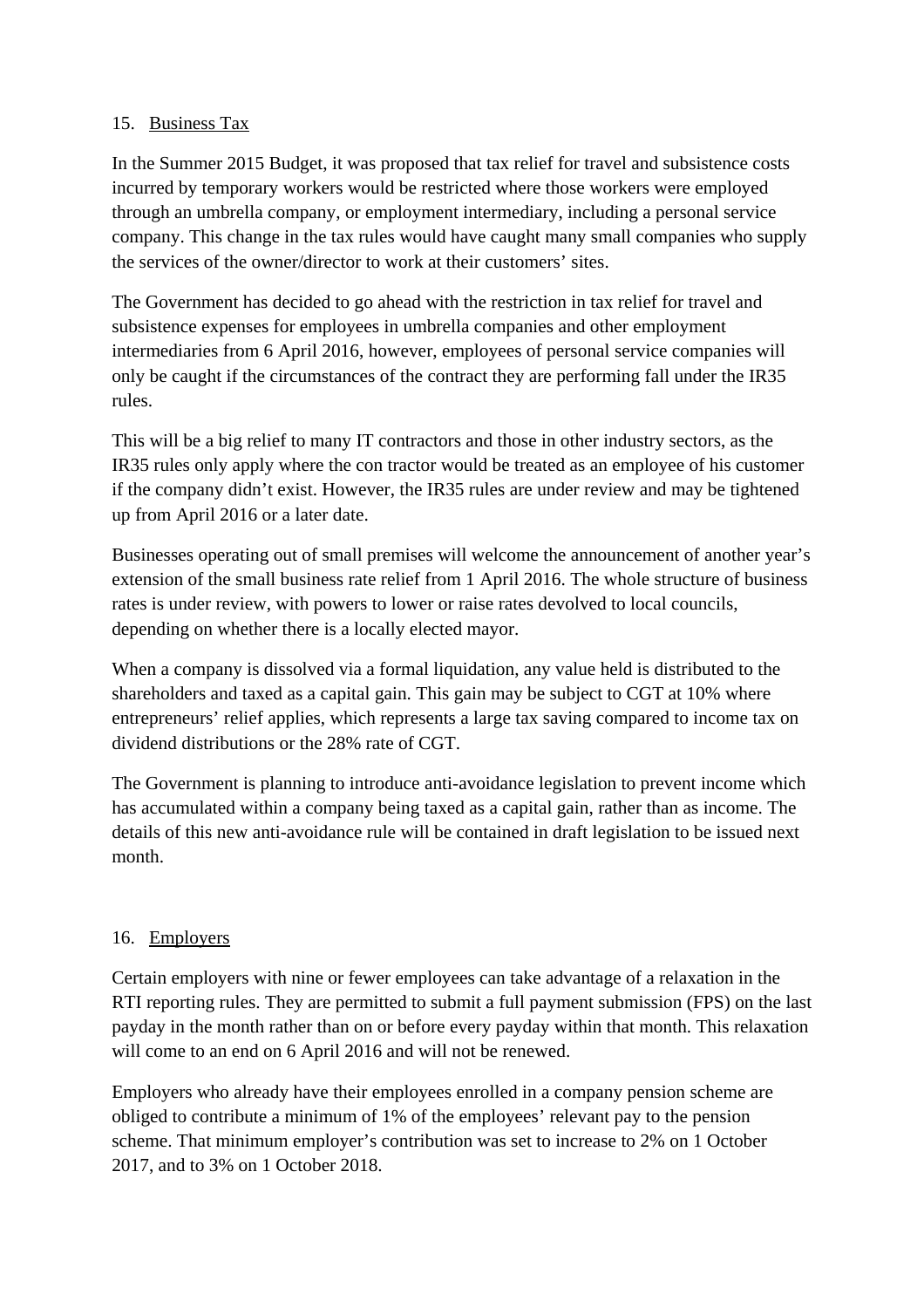#### 15. Business Tax

In the Summer 2015 Budget, it was proposed that tax relief for travel and subsistence costs incurred by temporary workers would be restricted where those workers were employed through an umbrella company, or employment intermediary, including a personal service company. This change in the tax rules would have caught many small companies who supply the services of the owner/director to work at their customers' sites.

The Government has decided to go ahead with the restriction in tax relief for travel and subsistence expenses for employees in umbrella companies and other employment intermediaries from 6 April 2016, however, employees of personal service companies will only be caught if the circumstances of the contract they are performing fall under the IR35 rules.

This will be a big relief to many IT contractors and those in other industry sectors, as the IR35 rules only apply where the con tractor would be treated as an employee of his customer if the company didn't exist. However, the IR35 rules are under review and may be tightened up from April 2016 or a later date.

Businesses operating out of small premises will welcome the announcement of another year's extension of the small business rate relief from 1 April 2016. The whole structure of business rates is under review, with powers to lower or raise rates devolved to local councils, depending on whether there is a locally elected mayor.

When a company is dissolved via a formal liquidation, any value held is distributed to the shareholders and taxed as a capital gain. This gain may be subject to CGT at 10% where entrepreneurs' relief applies, which represents a large tax saving compared to income tax on dividend distributions or the 28% rate of CGT.

The Government is planning to introduce anti-avoidance legislation to prevent income which has accumulated within a company being taxed as a capital gain, rather than as income. The details of this new anti-avoidance rule will be contained in draft legislation to be issued next month.

#### 16. Employers

Certain employers with nine or fewer employees can take advantage of a relaxation in the RTI reporting rules. They are permitted to submit a full payment submission (FPS) on the last payday in the month rather than on or before every payday within that month. This relaxation will come to an end on 6 April 2016 and will not be renewed.

Employers who already have their employees enrolled in a company pension scheme are obliged to contribute a minimum of 1% of the employees' relevant pay to the pension scheme. That minimum employer's contribution was set to increase to 2% on 1 October 2017, and to 3% on 1 October 2018.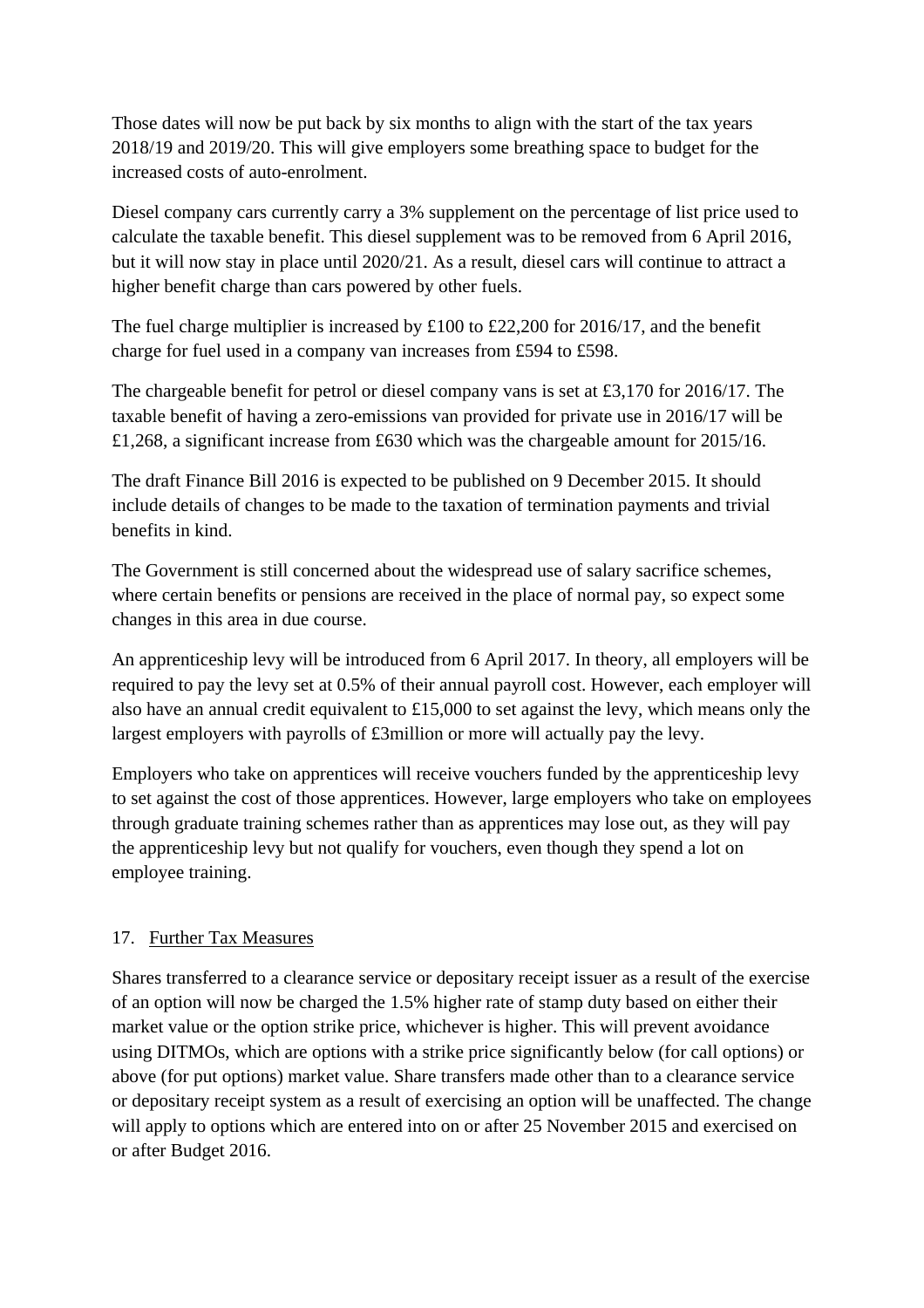Those dates will now be put back by six months to align with the start of the tax years 2018/19 and 2019/20. This will give employers some breathing space to budget for the increased costs of auto-enrolment.

Diesel company cars currently carry a 3% supplement on the percentage of list price used to calculate the taxable benefit. This diesel supplement was to be removed from 6 April 2016, but it will now stay in place until 2020/21. As a result, diesel cars will continue to attract a higher benefit charge than cars powered by other fuels.

The fuel charge multiplier is increased by £100 to £22,200 for 2016/17, and the benefit charge for fuel used in a company van increases from £594 to £598.

The chargeable benefit for petrol or diesel company vans is set at £3,170 for 2016/17. The taxable benefit of having a zero-emissions van provided for private use in 2016/17 will be £1,268, a significant increase from £630 which was the chargeable amount for 2015/16.

The draft Finance Bill 2016 is expected to be published on 9 December 2015. It should include details of changes to be made to the taxation of termination payments and trivial benefits in kind.

The Government is still concerned about the widespread use of salary sacrifice schemes, where certain benefits or pensions are received in the place of normal pay, so expect some changes in this area in due course.

An apprenticeship levy will be introduced from 6 April 2017. In theory, all employers will be required to pay the levy set at 0.5% of their annual payroll cost. However, each employer will also have an annual credit equivalent to £15,000 to set against the levy, which means only the largest employers with payrolls of £3million or more will actually pay the levy.

Employers who take on apprentices will receive vouchers funded by the apprenticeship levy to set against the cost of those apprentices. However, large employers who take on employees through graduate training schemes rather than as apprentices may lose out, as they will pay the apprenticeship levy but not qualify for vouchers, even though they spend a lot on employee training.

## 17. Further Tax Measures

Shares transferred to a clearance service or depositary receipt issuer as a result of the exercise of an option will now be charged the 1.5% higher rate of stamp duty based on either their market value or the option strike price, whichever is higher. This will prevent avoidance using DITMOs, which are options with a strike price significantly below (for call options) or above (for put options) market value. Share transfers made other than to a clearance service or depositary receipt system as a result of exercising an option will be unaffected. The change will apply to options which are entered into on or after 25 November 2015 and exercised on or after Budget 2016.